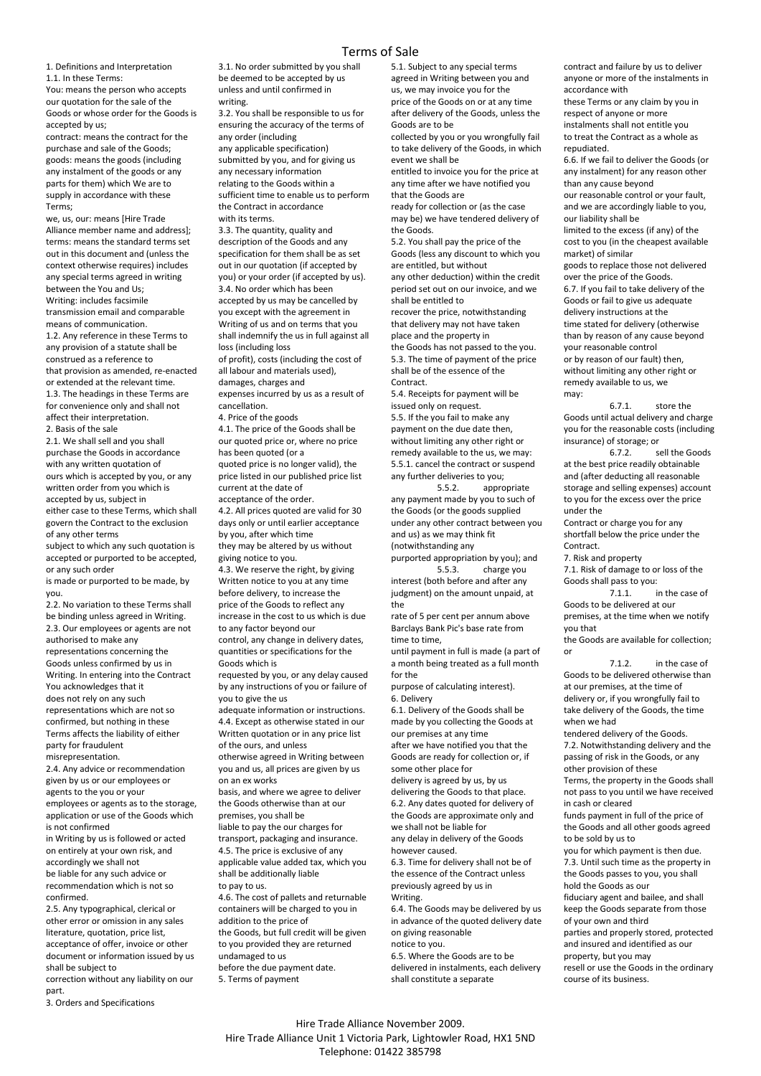## Terms of Sale

1. Definitions and Interpretation 1.1. In these Terms:

You: means the person who accepts our quotation for the sale of the Goods or whose order for the Goods is accepted by us;

contract: means the contract for the purchase and sale of the Goods; goods: means the goods (including any instalment of the goods or any parts for them) which We are to supply in accordance with these Terms;

we, us, our: means [Hire Trade Alliance member name and address]; terms: means the standard terms set out in this document and (unless the context otherwise requires) includes any special terms agreed in writing between the You and Us; Writing: includes facsimile transmission email and comparable means of communication. 1.2. Any reference in these Terms to any provision of a statute shall be construed as a reference to that provision as amended, re-enacted or extended at the relevant time. 1.3. The headings in these Terms are for convenience only and shall not affect their interpretation. 2. Basis of the sale

2.1. We shall sell and you shall purchase the Goods in accordance with any written quotation of ours which is accepted by you, or any written order from you which is accepted by us, subject in either case to these Terms, which shall govern the Contract to the exclusion of any other terms

subject to which any such quotation is accepted or purported to be accepted, or any such order

is made or purported to be made, by you.

2.2. No variation to these Terms shall be binding unless agreed in Writing. 2.3. Our employees or agents are not authorised to make any representations concerning the Goods unless confirmed by us in Writing. In entering into the Contract You acknowledges that it does not rely on any such representations which are not so confirmed, but nothing in these Terms affects the liability of either

party for fraudulent misrepresentation. 2.4. Any advice or recommendation

given by us or our employees or agents to the you or your employees or agents as to the storage, application or use of the Goods which is not confirmed

in Writing by us is followed or acted on entirely at your own risk, and accordingly we shall not be liable for any such advice or recommendation which is not so confirmed.

2.5. Any typographical, clerical or other error or omission in any sales literature, quotation, price list, acceptance of offer, invoice or other document or information issued by us shall be subject to

correction without any liability on our part.

3. Orders and Specifications

3.1. No order submitted by you shall be deemed to be accepted by us unless and until confirmed in writing.

3.2. You shall be responsible to us for ensuring the accuracy of the terms of any order (including any applicable specification) submitted by you, and for giving us any necessary information relating to the Goods within a sufficient time to enable us to perform the Contract in accordance

with its terms. 3.3. The quantity, quality and description of the Goods and any specification for them shall be as set out in our quotation (if accepted by you) or your order (if accepted by us). 3.4. No order which has been accepted by us may be cancelled by you except with the agreement in Writing of us and on terms that you shall indemnify the us in full against all loss (including loss of profit), costs (including the cost of all labour and materials used), damages, charges and

expenses incurred by us as a result of cancellation.

4. Price of the goods

4.1. The price of the Goods shall be our quoted price or, where no price has been quoted (or a quoted price is no longer valid), the

price listed in our published price list current at the date of acceptance of the order.

4.2. All prices quoted are valid for 30 days only or until earlier acceptance by you, after which time

they may be altered by us without giving notice to you.

4.3. We reserve the right, by giving Written notice to you at any time before delivery, to increase the price of the Goods to reflect any increase in the cost to us which is due to any factor beyond our control, any change in delivery dates, quantities or specifications for the Goods which is

requested by you, or any delay caused by any instructions of you or failure of you to give the us

adequate information or instructions. 4.4. Except as otherwise stated in our Written quotation or in any price list of the ours, and unless

otherwise agreed in Writing between you and us, all prices are given by us on an ex works

basis, and where we agree to deliver the Goods otherwise than at our premises, you shall be

liable to pay the our charges for transport, packaging and insurance. 4.5. The price is exclusive of any applicable value added tax, which you shall be additionally liable

to pay to us.

4.6. The cost of pallets and returnable containers will be charged to you in addition to the price of the Goods, but full credit will be given to you provided they are returned undamaged to us before the due payment date.

5. Terms of payment

5.1. Subject to any special terms agreed in Writing between you and us, we may invoice you for the price of the Goods on or at any time after delivery of the Goods, unless the Goods are to be

collected by you or you wrongfully fail to take delivery of the Goods, in which event we shall be

entitled to invoice you for the price at any time after we have notified you that the Goods are

ready for collection or (as the case may be) we have tendered delivery of the Goods.

5.2. You shall pay the price of the Goods (less any discount to which you are entitled, but without any other deduction) within the credit

period set out on our invoice, and we shall be entitled to

recover the price, notwithstanding that delivery may not have taken place and the property in

the Goods has not passed to the you. 5.3. The time of payment of the price shall be of the essence of the Contract.

5.4. Receipts for payment will be issued only on request.

5.5. If the you fail to make any payment on the due date then, without limiting any other right or remedy available to the us, we may: 5.5.1. cancel the contract or suspend any further deliveries to you;

5.5.2. appropriate any payment made by you to such of the Goods (or the goods supplied under any other contract between you and us) as we may think fit (notwithstanding any

purported appropriation by you); and 5.5.3. charge you

interest (both before and after any judgment) on the amount unpaid, at the

rate of 5 per cent per annum above Barclays Bank Pic's base rate from time to time,

until payment in full is made (a part of a month being treated as a full month for the

purpose of calculating interest). 6. Delivery

6.1. Delivery of the Goods shall be made by you collecting the Goods at our premises at any time

after we have notified you that the Goods are ready for collection or, if some other place for

delivery is agreed by us, by us delivering the Goods to that place. 6.2. Any dates quoted for delivery of the Goods are approximate only and

we shall not be liable for any delay in delivery of the Goods

however caused. 6.3. Time for delivery shall not be of

the essence of the Contract unless previously agreed by us in Writing.

6.4. The Goods may be delivered by us in advance of the quoted delivery date on giving reasonable

notice to you. 6.5. Where the Goods are to be

delivered in instalments, each delivery shall constitute a separate

contract and failure by us to deliver anyone or more of the instalments in accordance with

these Terms or any claim by you in respect of anyone or more instalments shall not entitle you to treat the Contract as a whole as repudiated.

6.6. If we fail to deliver the Goods (or any instalment) for any reason other than any cause beyond

our reasonable control or your fault, and we are accordingly liable to you, our liability shall be

limited to the excess (if any) of the cost to you (in the cheapest available market) of similar

goods to replace those not delivered over the price of the Goods. 6.7. If you fail to take delivery of the Goods or fail to give us adequate delivery instructions at the time stated for delivery (otherwise than by reason of any cause beyond your reasonable control or by reason of our fault) then, without limiting any other right or remedy available to us, we

may: 6.7.1. store the Goods until actual delivery and charge you for the reasonable costs (including insurance) of storage; or

6.7.2. sell the Goods at the best price readily obtainable and (after deducting all reasonable storage and selling expenses) account to you for the excess over the price under the

Contract or charge you for any shortfall below the price under the Contract.

7. Risk and property

7.1. Risk of damage to or loss of the Goods shall pass to you:<br>7.1.1.

in the case of Goods to be delivered at our premises, at the time when we notify

you that the Goods are available for collection; or

7.1.2. in the case of Goods to be delivered otherwise than at our premises, at the time of delivery or, if you wrongfully fail to take delivery of the Goods, the time when we had

tendered delivery of the Goods. 7.2. Notwithstanding delivery and the passing of risk in the Goods, or any other provision of these

Terms, the property in the Goods shall not pass to you until we have received in cash or cleared

funds payment in full of the price of the Goods and all other goods agreed to be sold by us to

you for which payment is then due. 7.3. Until such time as the property in the Goods passes to you, you shall hold the Goods as our

fiduciary agent and bailee, and shall keep the Goods separate from those of your own and third

parties and properly stored, protected and insured and identified as our property, but you may resell or use the Goods in the ordinary course of its business.

Hire Trade Alliance November 2009. Hire Trade Alliance Unit 1 Victoria Park, Lightowler Road, HX1 5ND Telephone: 01422 385798